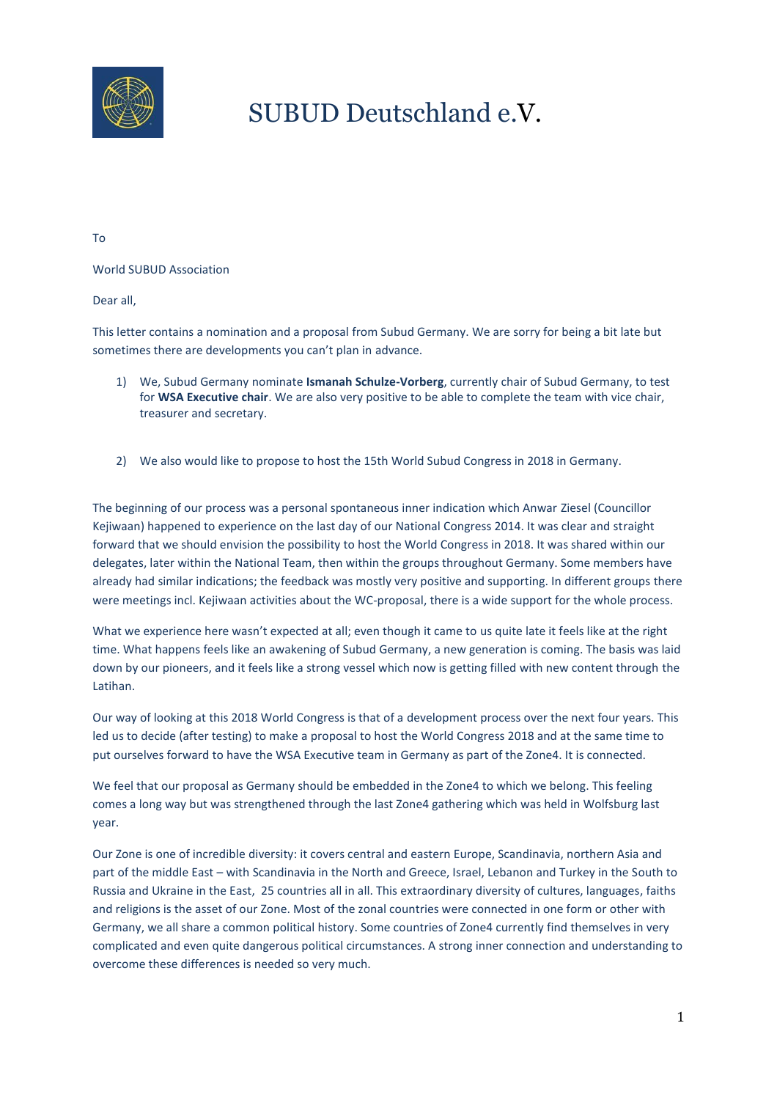

## SUBUD Deutschland e.V.

To

World SUBUD Association

Dear all,

This letter contains a nomination and a proposal from Subud Germany. We are sorry for being a bit late but sometimes there are developments you can't plan in advance.

- 1) We, Subud Germany nominate **Ismanah Schulze-Vorberg**, currently chair of Subud Germany, to test for **WSA Executive chair**. We are also very positive to be able to complete the team with vice chair, treasurer and secretary.
- 2) We also would like to propose to host the 15th World Subud Congress in 2018 in Germany.

The beginning of our process was a personal spontaneous inner indication which Anwar Ziesel (Councillor Kejiwaan) happened to experience on the last day of our National Congress 2014. It was clear and straight forward that we should envision the possibility to host the World Congress in 2018. It was shared within our delegates, later within the National Team, then within the groups throughout Germany. Some members have already had similar indications; the feedback was mostly very positive and supporting. In different groups there were meetings incl. Kejiwaan activities about the WC-proposal, there is a wide support for the whole process.

What we experience here wasn't expected at all; even though it came to us quite late it feels like at the right time. What happens feels like an awakening of Subud Germany, a new generation is coming. The basis was laid down by our pioneers, and it feels like a strong vessel which now is getting filled with new content through the Latihan.

Our way of looking at this 2018 World Congress is that of a development process over the next four years. This led us to decide (after testing) to make a proposal to host the World Congress 2018 and at the same time to put ourselves forward to have the WSA Executive team in Germany as part of the Zone4. It is connected.

We feel that our proposal as Germany should be embedded in the Zone4 to which we belong. This feeling comes a long way but was strengthened through the last Zone4 gathering which was held in Wolfsburg last year.

Our Zone is one of incredible diversity: it covers central and eastern Europe, Scandinavia, northern Asia and part of the middle East – with Scandinavia in the North and Greece, Israel, Lebanon and Turkey in the South to Russia and Ukraine in the East, 25 countries all in all. This extraordinary diversity of cultures, languages, faiths and religions is the asset of our Zone. Most of the zonal countries were connected in one form or other with Germany, we all share a common political history. Some countries of Zone4 currently find themselves in very complicated and even quite dangerous political circumstances. A strong inner connection and understanding to overcome these differences is needed so very much.